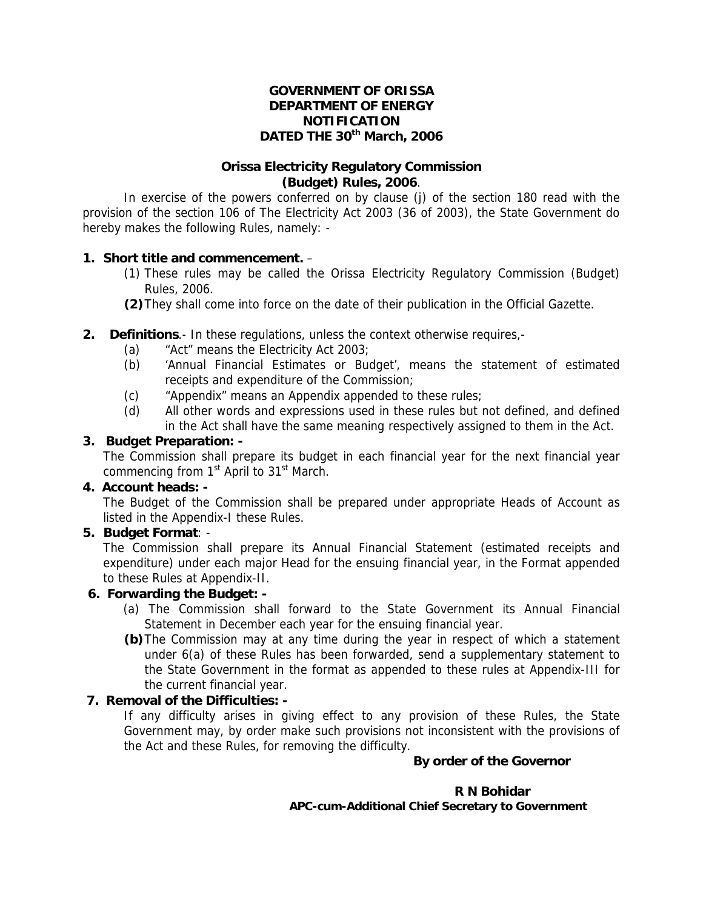#### **GOVERNMENT OF ORISSA DEPARTMENT OF ENERGY NOTIFICATION DATED THE 30th March, 2006**

## **Orissa Electricity Regulatory Commission (Budget) Rules, 2006**.

 In exercise of the powers conferred on by clause (j) of the section 180 read with the provision of the section 106 of The Electricity Act 2003 (36 of 2003), the State Government do hereby makes the following Rules, namely: -

## **1. Short title and commencement.** –

- (1) These rules may be called the Orissa Electricity Regulatory Commission (Budget) Rules, 2006.
- **(2)** They shall come into force on the date of their publication in the Official Gazette.
- **2. Definitions**.- In these regulations, unless the context otherwise requires,-
	- (a) "Act" means the Electricity Act 2003;
	- (b) 'Annual Financial Estimates or Budget', means the statement of estimated receipts and expenditure of the Commission;
	- (c) "Appendix" means an Appendix appended to these rules;
	- (d) All other words and expressions used in these rules but not defined, and defined in the Act shall have the same meaning respectively assigned to them in the Act.

#### **3. Budget Preparation: -**

The Commission shall prepare its budget in each financial year for the next financial year commencing from  $1<sup>st</sup>$  April to  $31<sup>st</sup>$  March.

## **4. Account heads: -**

The Budget of the Commission shall be prepared under appropriate Heads of Account as listed in the Appendix-I these Rules.

#### **5. Budget Format**: -

The Commission shall prepare its Annual Financial Statement (estimated receipts and expenditure) under each major Head for the ensuing financial year, in the Format appended to these Rules at Appendix-II.

## **6. Forwarding the Budget: -**

- (a) The Commission shall forward to the State Government its Annual Financial Statement in December each year for the ensuing financial year.
- **(b)** The Commission may at any time during the year in respect of which a statement under 6(a) of these Rules has been forwarded, send a supplementary statement to the State Government in the format as appended to these rules at Appendix-III for the current financial year.

## **7. Removal of the Difficulties: -**

If any difficulty arises in giving effect to any provision of these Rules, the State Government may, by order make such provisions not inconsistent with the provisions of the Act and these Rules, for removing the difficulty.

## **By order of the Governor**

#### **R N Bohidar APC-cum-Additional Chief Secretary to Government**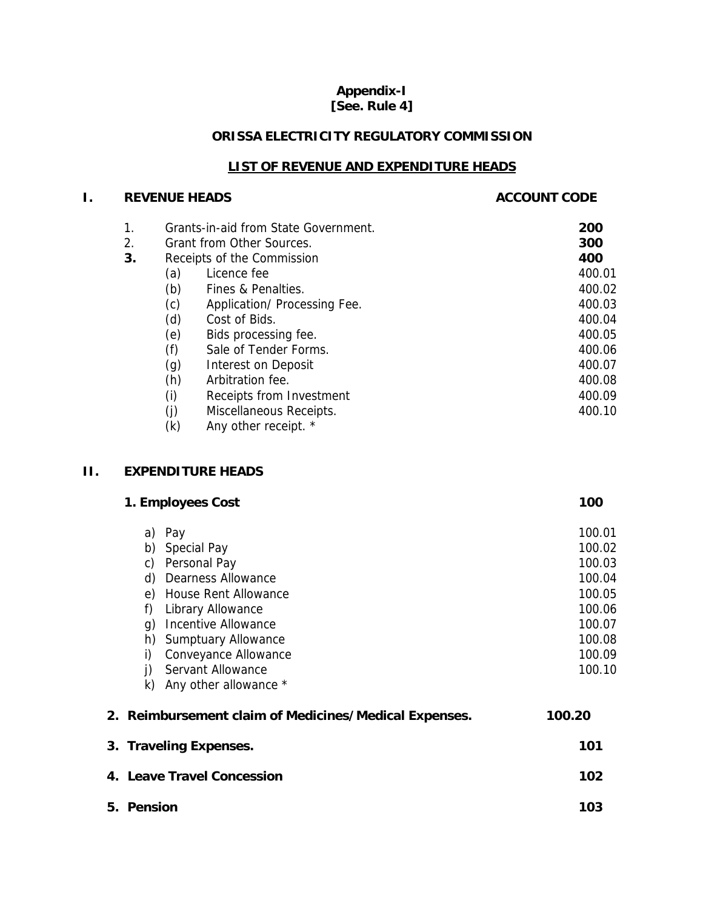## **Appendix-I [See. Rule 4]**

## **ORISSA ELECTRICITY REGULATORY COMMISSION**

## **LIST OF REVENUE AND EXPENDITURE HEADS**

## **I.** REVENUE HEADS **ACCOUNT CODE**

| 1. |     | Grants-in-aid from State Government. | 200    |
|----|-----|--------------------------------------|--------|
| 2. |     | Grant from Other Sources.            | 300    |
| 3. |     | Receipts of the Commission           | 400    |
|    | (a) | Licence fee                          | 400.01 |
|    | (b) | Fines & Penalties.                   | 400.02 |
|    | (c) | Application/ Processing Fee.         | 400.03 |
|    | (d) | Cost of Bids.                        | 400.04 |
|    | (e) | Bids processing fee.                 | 400.05 |
|    | (f) | Sale of Tender Forms.                | 400.06 |
|    | (g) | Interest on Deposit                  | 400.07 |
|    | (h) | Arbitration fee.                     | 400.08 |
|    | (i) | Receipts from Investment             | 400.09 |
|    | (j) | Miscellaneous Receipts.              | 400.10 |
|    |     |                                      |        |

 $(k)$  Any other receipt.  $*$ 

## **II. EXPENDITURE HEADS**

| 1. Employees Cost                                     | 100    |
|-------------------------------------------------------|--------|
| Pay<br>a)                                             | 100.01 |
| <b>Special Pay</b><br>b)                              | 100.02 |
| Personal Pay<br>C)                                    | 100.03 |
| <b>Dearness Allowance</b><br>d)                       | 100.04 |
| House Rent Allowance<br>e)                            | 100.05 |
| f)<br>Library Allowance                               | 100.06 |
| Incentive Allowance<br>$\mathfrak{g}$                 | 100.07 |
| <b>Sumptuary Allowance</b><br>h)                      | 100.08 |
| Conveyance Allowance<br>i)                            | 100.09 |
| Servant Allowance<br>j)                               | 100.10 |
| Any other allowance *<br>k)                           |        |
| 2. Reimbursement claim of Medicines/Medical Expenses. | 100.20 |
| 3. Traveling Expenses.                                | 101    |
| 4. Leave Travel Concession                            | 102    |
| 5. Pension                                            | 103    |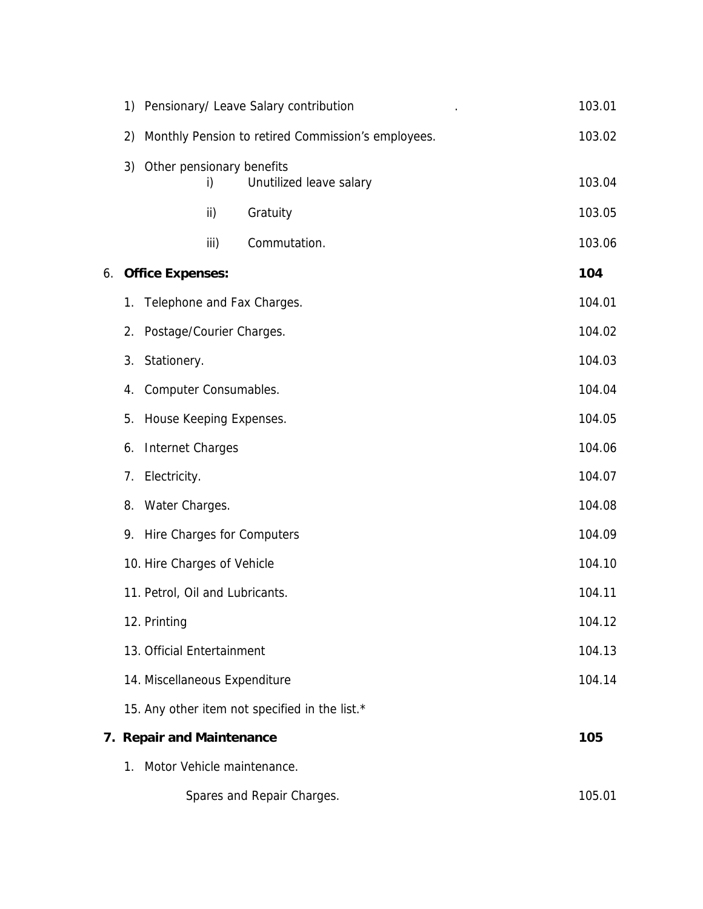|             | 1) Pensionary/ Leave Salary contribution              | 103.01 |
|-------------|-------------------------------------------------------|--------|
|             | 2) Monthly Pension to retired Commission's employees. | 103.02 |
|             | 3) Other pensionary benefits                          |        |
|             | Unutilized leave salary<br>i)                         | 103.04 |
|             | ii)<br>Gratuity                                       | 103.05 |
|             | iii)<br>Commutation.                                  | 103.06 |
|             | 6. Office Expenses:                                   | 104    |
|             | 1. Telephone and Fax Charges.                         | 104.01 |
|             | 2. Postage/Courier Charges.                           | 104.02 |
| 3.          | Stationery.                                           | 104.03 |
|             | 4. Computer Consumables.                              | 104.04 |
| 5.          | House Keeping Expenses.                               | 104.05 |
|             | 6. Internet Charges                                   | 104.06 |
|             | 7. Electricity.                                       | 104.07 |
|             | 8. Water Charges.                                     | 104.08 |
|             | 9. Hire Charges for Computers                         | 104.09 |
|             | 10. Hire Charges of Vehicle                           | 104.10 |
|             | 11. Petrol, Oil and Lubricants.                       | 104.11 |
|             | 12. Printing                                          | 104.12 |
|             | 13. Official Entertainment                            | 104.13 |
|             | 14. Miscellaneous Expenditure                         | 104.14 |
|             | 15. Any other item not specified in the list.*        |        |
|             | 7. Repair and Maintenance                             | 105    |
| $1_{\cdot}$ | Motor Vehicle maintenance.                            |        |
|             | Spares and Repair Charges.                            | 105.01 |
|             |                                                       |        |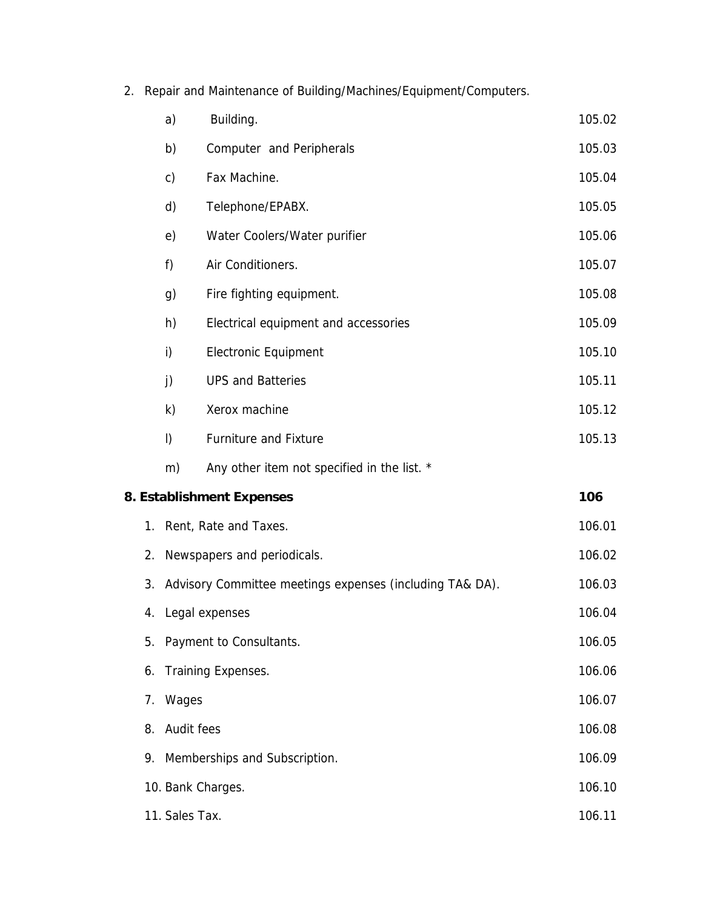2. Repair and Maintenance of Building/Machines/Equipment/Computers.

|                   | a)                            | Building.                                                | 105.02 |  |  |  |
|-------------------|-------------------------------|----------------------------------------------------------|--------|--|--|--|
|                   | b)                            | Computer and Peripherals                                 | 105.03 |  |  |  |
|                   | c)                            | Fax Machine.                                             | 105.04 |  |  |  |
|                   | d)                            | Telephone/EPABX.                                         | 105.05 |  |  |  |
|                   | e)                            | Water Coolers/Water purifier                             | 105.06 |  |  |  |
|                   | f)                            | Air Conditioners.                                        | 105.07 |  |  |  |
|                   | g)                            | Fire fighting equipment.                                 | 105.08 |  |  |  |
|                   | h)                            | Electrical equipment and accessories                     | 105.09 |  |  |  |
|                   | i)                            | <b>Electronic Equipment</b>                              | 105.10 |  |  |  |
|                   | j)                            | <b>UPS and Batteries</b>                                 | 105.11 |  |  |  |
|                   | k)                            | Xerox machine                                            | 105.12 |  |  |  |
|                   | $\vert$ )                     | <b>Furniture and Fixture</b>                             | 105.13 |  |  |  |
|                   | m)                            | Any other item not specified in the list. *              |        |  |  |  |
|                   |                               | 8. Establishment Expenses                                | 106    |  |  |  |
| 1.                |                               | Rent, Rate and Taxes.                                    | 106.01 |  |  |  |
| 2.                |                               | Newspapers and periodicals.                              | 106.02 |  |  |  |
| 3.                |                               | Advisory Committee meetings expenses (including TA& DA). | 106.03 |  |  |  |
|                   |                               | 4. Legal expenses                                        | 106.04 |  |  |  |
| 5.                |                               | Payment to Consultants.                                  | 106.05 |  |  |  |
| 6.                |                               | Training Expenses.                                       | 106.06 |  |  |  |
| 7.                | Wages                         | 106.07                                                   |        |  |  |  |
| 8.                | Audit fees                    |                                                          | 106.08 |  |  |  |
| 9.                | Memberships and Subscription. |                                                          |        |  |  |  |
| 10. Bank Charges. |                               |                                                          |        |  |  |  |
|                   | 11. Sales Tax.                |                                                          |        |  |  |  |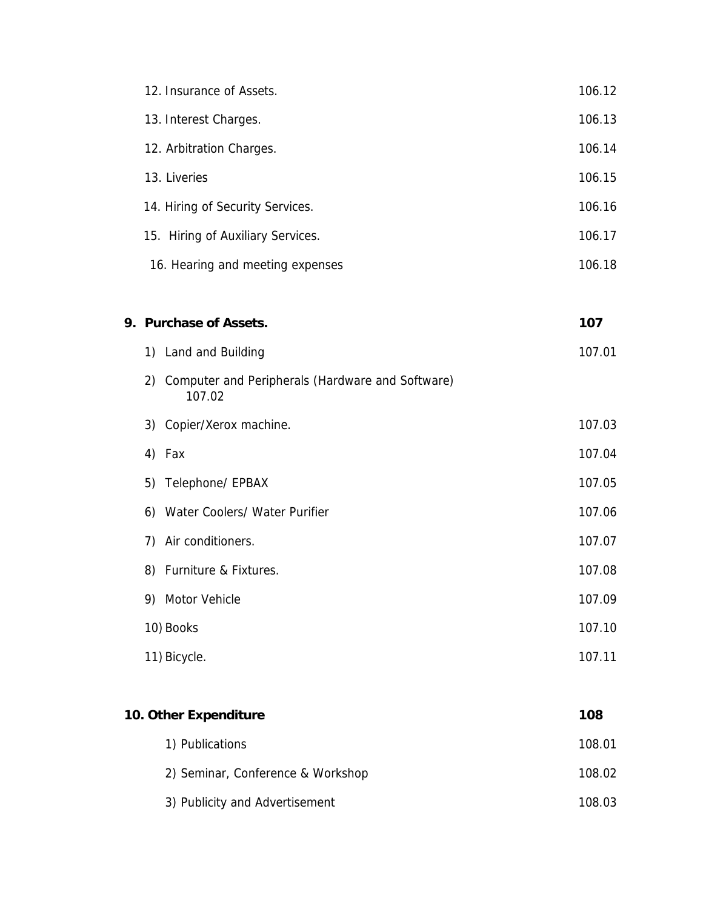| 12. Insurance of Assets.                                         | 106.12                                         |
|------------------------------------------------------------------|------------------------------------------------|
| 13. Interest Charges.                                            | 106.13                                         |
| 12. Arbitration Charges.                                         | 106.14                                         |
| 13. Liveries                                                     | 106.15                                         |
| 14. Hiring of Security Services.                                 | 106.16                                         |
| 15. Hiring of Auxiliary Services.                                | 106.17                                         |
| 16. Hearing and meeting expenses                                 | 106.18                                         |
|                                                                  | 107                                            |
|                                                                  | 107.01                                         |
| Computer and Peripherals (Hardware and Software)<br>2)<br>107.02 |                                                |
| 3) Copier/Xerox machine.                                         | 107.03                                         |
| Fax<br>4)                                                        | 107.04                                         |
| 5)<br>Telephone/ EPBAX                                           | 107.05                                         |
| Water Coolers/ Water Purifier<br>6)                              | 107.06                                         |
| Air conditioners.<br>7)                                          | 107.07                                         |
| 8)<br>Furniture & Fixtures.                                      | 107.08                                         |
| 9)<br>Motor Vehicle                                              | 107.09                                         |
| 10) Books                                                        | 107.10                                         |
| 11) Bicycle.                                                     | 107.11                                         |
|                                                                  |                                                |
| 10. Other Expenditure                                            | 108                                            |
| 1) Publications                                                  | 108.01                                         |
| 2) Seminar, Conference & Workshop                                | 108.02                                         |
| 3) Publicity and Advertisement                                   | 108.03                                         |
|                                                                  | 9. Purchase of Assets.<br>1) Land and Building |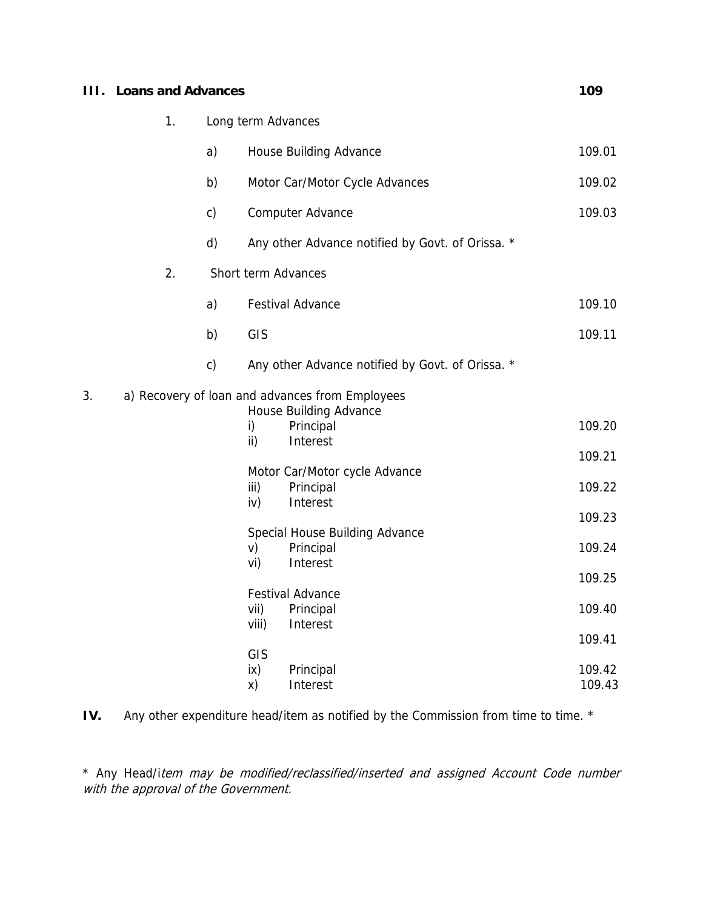| HL. | <b>Loans and Advances</b> |               |                    |                                                  | 109              |
|-----|---------------------------|---------------|--------------------|--------------------------------------------------|------------------|
|     | 1.                        |               | Long term Advances |                                                  |                  |
|     |                           | a)            |                    | House Building Advance                           | 109.01           |
|     |                           | b)            |                    | Motor Car/Motor Cycle Advances                   | 109.02           |
|     |                           | $\mathsf{c}$  |                    | Computer Advance                                 | 109.03           |
|     |                           | d)            |                    | Any other Advance notified by Govt. of Orissa. * |                  |
|     | 2.                        |               |                    | Short term Advances                              |                  |
|     |                           | a)            |                    | <b>Festival Advance</b>                          | 109.10           |
|     |                           | b)            | GIS                |                                                  | 109.11           |
|     |                           | $\mathsf{c})$ |                    | Any other Advance notified by Govt. of Orissa. * |                  |
| 3.  |                           |               |                    | a) Recovery of loan and advances from Employees  |                  |
|     |                           |               | i)                 | House Building Advance<br>Principal              | 109.20           |
|     |                           |               | ii)                | Interest                                         | 109.21           |
|     |                           |               | iii)               | Motor Car/Motor cycle Advance<br>Principal       | 109.22           |
|     |                           |               | iv)                | Interest                                         |                  |
|     |                           |               |                    | Special House Building Advance                   | 109.23           |
|     |                           |               | V)                 | Principal                                        | 109.24           |
|     |                           |               | vi)                | Interest                                         | 109.25           |
|     |                           |               |                    | <b>Festival Advance</b>                          |                  |
|     |                           |               | vii)               | Principal                                        | 109.40           |
|     |                           |               | viii)              | Interest                                         | 109.41           |
|     |                           |               | GIS                |                                                  |                  |
|     |                           |               | ix)<br>X)          | Principal<br>Interest                            | 109.42<br>109.43 |

IV. Any other expenditure head/item as notified by the Commission from time to time. \*

\* Any Head/item may be modified/reclassified/inserted and assigned Account Code number with the approval of the Government.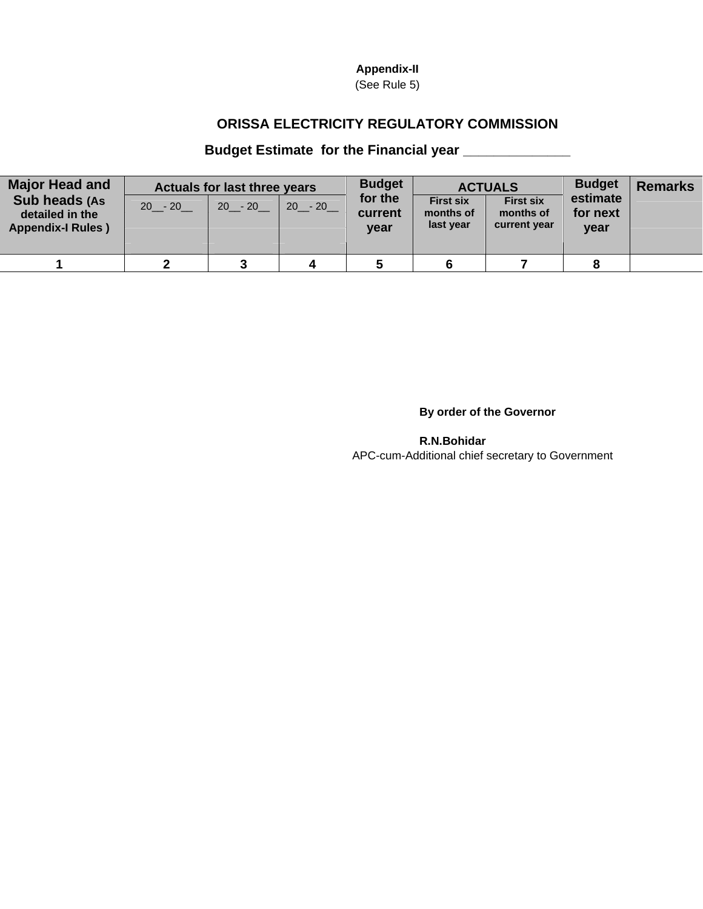## **Appendix-II**

(See Rule 5)

## **ORISSA ELECTRICITY REGULATORY COMMISSION**

## **Budget Estimate for the Financial year \_\_\_\_\_\_\_\_\_\_\_\_\_\_**

| <b>Major Head and</b><br>Sub heads (As<br>detailed in the<br><b>Appendix-I Rules</b> ) | $20 - 20$ | <b>Actuals for last three years</b><br>$20 - 20$ | $20 - 20$ | <b>Budget</b><br>for the<br>current<br>year | <b>First six</b><br>months of<br>last year | <b>ACTUALS</b><br><b>First six</b><br>months of<br>current year | <b>Budget</b><br>estimate<br>for next<br>year | <b>Remarks</b> |
|----------------------------------------------------------------------------------------|-----------|--------------------------------------------------|-----------|---------------------------------------------|--------------------------------------------|-----------------------------------------------------------------|-----------------------------------------------|----------------|
|                                                                                        |           |                                                  |           |                                             |                                            |                                                                 |                                               |                |

**By order of the Governor** 

**R.N.Bohidar**  APC-cum-Additional chief secretary to Government